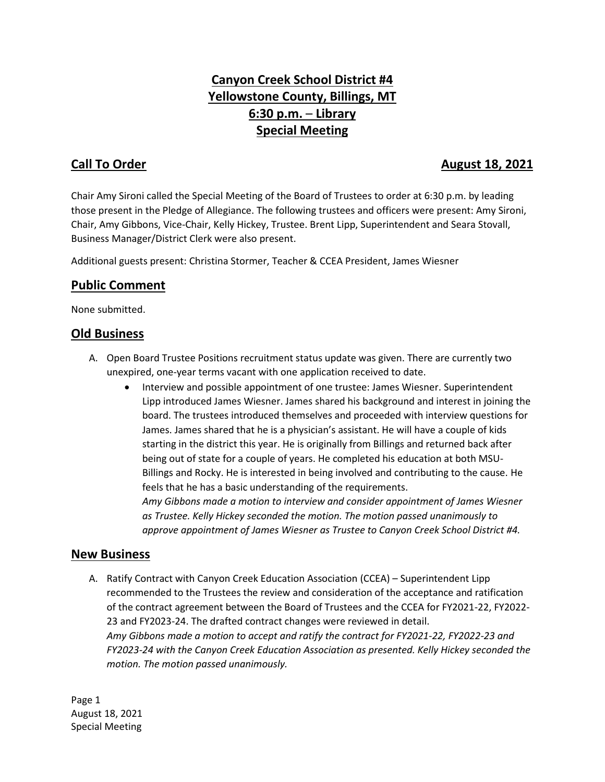# **Canyon Creek School District #4 Yellowstone County, Billings, MT 6:30 p.m.** – **Library Special Meeting**

# **Call To Order August 18, 2021**

Chair Amy Sironi called the Special Meeting of the Board of Trustees to order at 6:30 p.m. by leading those present in the Pledge of Allegiance. The following trustees and officers were present: Amy Sironi, Chair, Amy Gibbons, Vice-Chair, Kelly Hickey, Trustee. Brent Lipp, Superintendent and Seara Stovall, Business Manager/District Clerk were also present.

Additional guests present: Christina Stormer, Teacher & CCEA President, James Wiesner

# **Public Comment**

None submitted.

#### **Old Business**

- A. Open Board Trustee Positions recruitment status update was given. There are currently two unexpired, one-year terms vacant with one application received to date.
	- Interview and possible appointment of one trustee: James Wiesner. Superintendent Lipp introduced James Wiesner. James shared his background and interest in joining the board. The trustees introduced themselves and proceeded with interview questions for James. James shared that he is a physician's assistant. He will have a couple of kids starting in the district this year. He is originally from Billings and returned back after being out of state for a couple of years. He completed his education at both MSU-Billings and Rocky. He is interested in being involved and contributing to the cause. He feels that he has a basic understanding of the requirements. *Amy Gibbons made a motion to interview and consider appointment of James Wiesner as Trustee. Kelly Hickey seconded the motion. The motion passed unanimously to*

*approve appointment of James Wiesner as Trustee to Canyon Creek School District #4.*

#### **New Business**

A. Ratify Contract with Canyon Creek Education Association (CCEA) – Superintendent Lipp recommended to the Trustees the review and consideration of the acceptance and ratification of the contract agreement between the Board of Trustees and the CCEA for FY2021-22, FY2022- 23 and FY2023-24. The drafted contract changes were reviewed in detail. *Amy Gibbons made a motion to accept and ratify the contract for FY2021-22, FY2022-23 and FY2023-24 with the Canyon Creek Education Association as presented. Kelly Hickey seconded the motion. The motion passed unanimously.*

Page 1 August 18, 2021 Special Meeting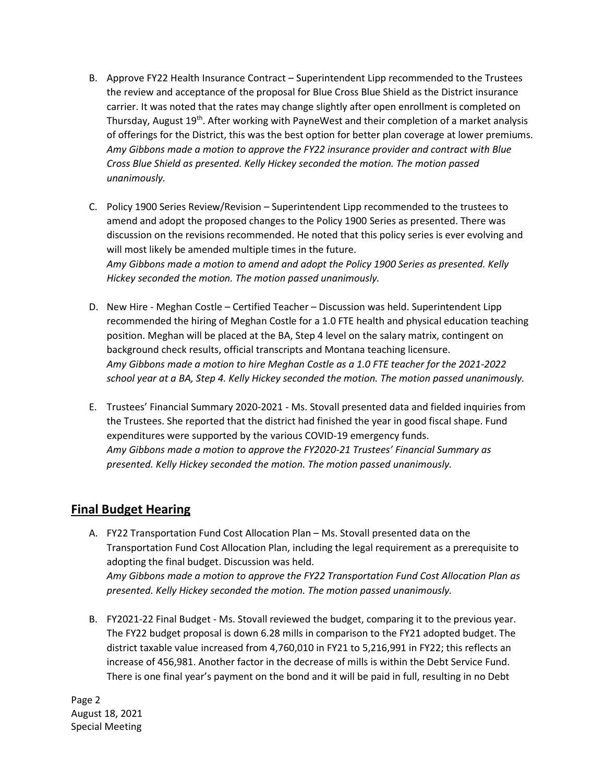- B. Approve FY22 Health Insurance Contract Superintendent Lipp recommended to the Trustees the review and acceptance of the proposal for Blue Cross Blue Shield as the District insurance carrier. It was noted that the rates may change slightly after open enrollment is completed on Thursday, August 19<sup>th</sup>. After working with PayneWest and their completion of a market analysis of offerings for the District, this was the best option for better plan coverage at lower premiums. *Amy Gibbons made a motion to approve the FY22 insurance provider and contract with Blue Cross Blue Shield as presented. Kelly Hickey seconded the motion. The motion passed unanimously.*
- C. Policy 1900 Series Review/Revision Superintendent Lipp recommended to the trustees to amend and adopt the proposed changes to the Policy 1900 Series as presented. There was discussion on the revisions recommended. He noted that this policy series is ever evolving and will most likely be amended multiple times in the future. *Amy Gibbons made a motion to amend and adopt the Policy 1900 Series as presented. Kelly Hickey seconded the motion. The motion passed unanimously.*
- D. New Hire Meghan Costle Certified Teacher Discussion was held. Superintendent Lipp recommended the hiring of Meghan Costle for a 1.0 FTE health and physical education teaching position. Meghan will be placed at the BA, Step 4 level on the salary matrix, contingent on background check results, official transcripts and Montana teaching licensure. *Amy Gibbons made a motion to hire Meghan Costle as a 1.0 FTE teacher for the 2021-2022 school year at a BA, Step 4. Kelly Hickey seconded the motion. The motion passed unanimously.*
- E. Trustees' Financial Summary 2020-2021 Ms. Stovall presented data and fielded inquiries from the Trustees. She reported that the district had finished the year in good fiscal shape. Fund expenditures were supported by the various COVID-19 emergency funds. *Amy Gibbons made a motion to approve the FY2020-21 Trustees' Financial Summary as presented. Kelly Hickey seconded the motion. The motion passed unanimously.*

# **Final Budget Hearing**

- A. FY22 Transportation Fund Cost Allocation Plan Ms. Stovall presented data on the Transportation Fund Cost Allocation Plan, including the legal requirement as a prerequisite to adopting the final budget. Discussion was held. *Amy Gibbons made a motion to approve the FY22 Transportation Fund Cost Allocation Plan as presented. Kelly Hickey seconded the motion. The motion passed unanimously.*
- B. FY2021-22 Final Budget Ms. Stovall reviewed the budget, comparing it to the previous year. The FY22 budget proposal is down 6.28 mills in comparison to the FY21 adopted budget. The district taxable value increased from 4,760,010 in FY21 to 5,216,991 in FY22; this reflects an increase of 456,981. Another factor in the decrease of mills is within the Debt Service Fund. There is one final year's payment on the bond and it will be paid in full, resulting in no Debt

Page 2 August 18, 2021 Special Meeting